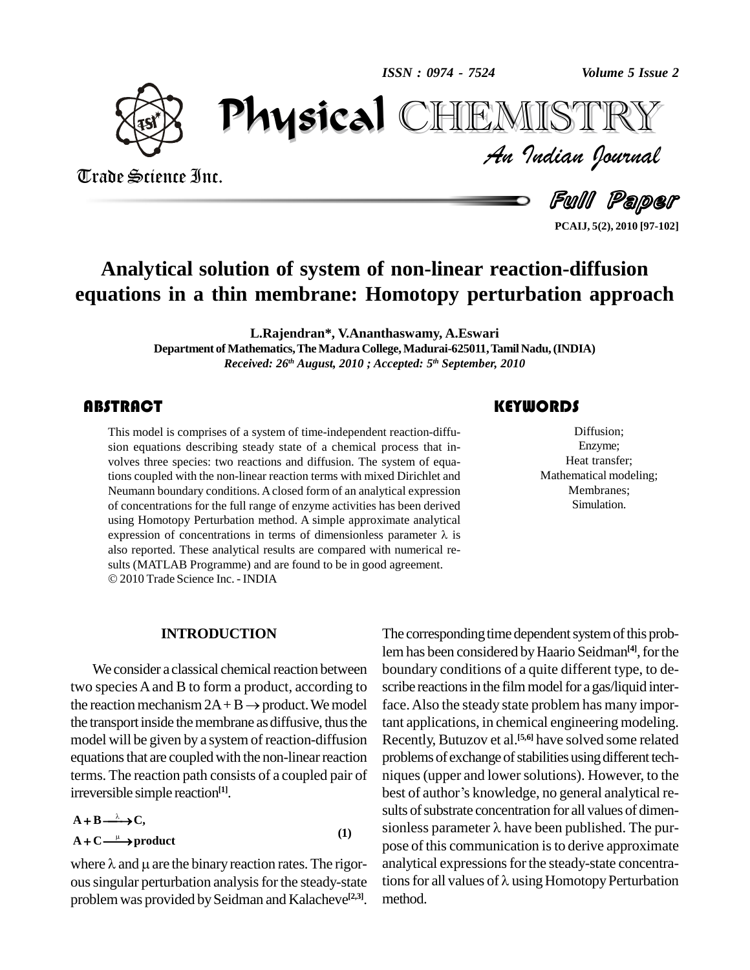*ISSN : 0974 - 7524*



Trade Science Inc.

Trade Science Inc.

*Volume 5 Issue 2*<br>IISTRY<br>Indian Iournal PhysicalIEMISTR

Full Paper

**PCAIJ, 5(2), 2010 [97-102]**

# **Analytical solution of system of non-linear reaction-diffusion equations in a thin membrane: Homotopy perturbation approach**

**L.Rajendran\*, V.Ananthaswamy, A.Eswari**

**Department of Mathematics, The Madura College, Madurai-625011, Tamil Nadu, (INDIA)** *Received: 26 th August, 2010 ; Accepted: 5 th September, 2010*

## **ABSTRACT**

This model is comprises<br>sion equations describing<br>volves three species: two This model is comprises of a system of time-independent reaction-diffu sion equations describing steady state of a chemical process that in volves three species: two reactions and diffusion. The system of equations coupled with the non-linear reaction terms with mixed Dirichlet and Neumann boundary conditions. Aclosed form of an analytical expression of concentrations for the full range of enzyme activities has been derived<br>using Homotopy Perturbation method. A simple approximate analytical<br>expression of concentrations in terms of dimensionless parameter  $\lambda$  is using Homotopy Perturbation method. A simple approximate analytical also reported. These analytical results are compared with numerical re sults (MATLAB Programme) and are found to be in good agreement. 2010Trade Science Inc. - INDIA

## **KEYWORDS**

Diffusion;<br>Enzyme;<br>Heat transfer; Diffusion; Enzyme; Heat transfer; Mathematical modeling; Membranes; Simulation.

### **INTRODUCTION**

We consider a classical chemical reaction between two species A and B to form a product, according to scribe r We consider a classical chemical reaction between bo<br>two species A and B to form a product, according to scr<br>the reaction mechanism  $2A + B \rightarrow$  product. We model fac the transport inside the membrane as diffusive, thus the model will be given by a system of reaction-diffusion equations that are coupled with the non-linear reaction terms. The reaction path consists of a coupled pair of irreversible simple reaction<sup>[1]</sup>.<br>  $A + B \xrightarrow{\lambda} C$ . ٩

$$
A + B \xrightarrow{\lambda} C,
$$
  
\n
$$
A + C \xrightarrow{\mu} \text{product}
$$
 (1)

problem was provided by Seidman and Kalacheve<sup>[2,3]</sup>. me

 $A + B \longrightarrow C$ ,<br>  $A + C \longrightarrow$  product<br>
where  $\lambda$  and  $\mu$  are the binary reaction rates. The rigor-<br>  $\mu$  and  $\mu$  are the binary reaction rates. The rigor-<br>  $\mu$  and  $\mu$  are the binary reaction rates. The rigorous singular perturbation analysis for the steady-state tions for all values of  $\lambda$  using Homotopy Perturbation The corresponding time dependent system of this problem has been considered by Haario Seidman<sup>[4]</sup>, for the boundary conditions of a quite different type, to de scribe reactions in the film model for a gas/liquid interface.Also the steady state problem has many important applications, in chemical engineering modeling. Recently, Butuzov et al. **[5,6]** have solved some related problems of exchange of stabilities using different techniques(upper and lowersolutions). However, to the problems of exchange of stabilities using different tech-<br>niques (upper and lower solutions). However, to the<br>best of author's knowledge, no general analytical results of substrate concentration for all values of dimenbest of author's knowledge, no general analytical repose of this communication is to derive approximate<br>analytical expressions for the steady-state concentra-<br>tions for all values of  $\lambda$  using Homotopy Perturbation analytical expressions for the steady-state concentramethod.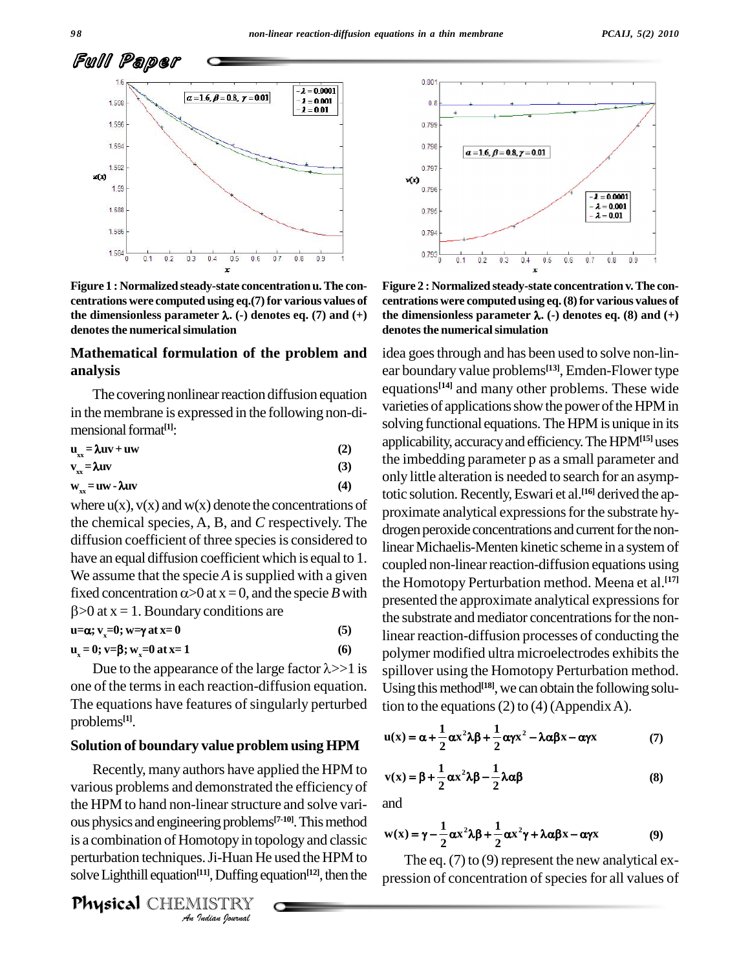

**Figure 1 : Normalized steady-state concentration u.The con centrations were computed using eq.(7)for various values of Figure 1 : Normalized steady-state concentration u. The con-**<br>**Figure 1 : Normalized steady-state concentration u. The con-**<br>**the dimensionless parameter**  $\lambda$ . (-) denotes eq. (7) and (+) the **denotesthe numericalsimulation**

## **Mathematical formulation of the problem and analysis**

The covering nonlinear reaction diffusion equation in the membrane is expressed in the following non-dimensional format<sup>[1]</sup>: In the membrane is expressed in the ronowing non-di-<br>mensional format<sup>[1]</sup>:  $u_x = \lambda uv + uw$  (2)

| THEIBIOITAL IOITHAU F.     |     |
|----------------------------|-----|
| $u_{xx} = \lambda uv + uw$ | (2) |
| $v_{xx} = \lambda uv$      | (3) |
| $w_{xx} = uw - \lambda uv$ | (4) |

where  $u(x)$ ,  $v(x)$  and  $w(x)$  denote the concentrations of the chemical species, A, B, and *C* respectively. The diffusion coefficient of three species is considered to have an equal diffusion coefficient which is equal to 1. We assume that the specie *A* is supplied with a given  $\epsilon_{\text{the H}_0}$ fixed concentration  $\alpha$  > 0 at x = 0, and the specie *B* with  $>0$  at  $x = 1$ . Boundary conditions are **i** $\infty$  **b a x** = **1**. Boundary conditions are<br>**u=** $\alpha$ ;  $\mathbf{v}_x = 0$ ;  $\mathbf{w} = \gamma$  **at**  $\mathbf{x} = 0$  (5)

 $u = \alpha$ ; **v**<sub>=</sub>**0**; **w**=**y** at **x**=**0** (5)

$$
\mathbf{u}_{\mathbf{x}} = \mathbf{0}; \mathbf{v} = \mathbf{\beta}; \mathbf{w}_{\mathbf{x}} = \mathbf{0} \text{ at } \mathbf{x} = 1 \tag{6}
$$

Due to the appearance of the large factor  $\lambda$ >>1 is one of the terms in each reaction-diffusion equation. The equations have features of singularly perturbed problems **[1]**.

### **Solution of boundary value problem using HPM**

**but are continuous** the discussion of Homotopy in topology and classic w(x) = perturbation techniques. Ji-Huan He used the HPM to solve Lighthill equation<sup>[11]</sup>, Duffing equation<sup>[12]</sup>, then the pressic<br> **Physical** CHIEM Recently, many authors have applied the HPM to various problems and demonstrated the efficiency of the HPM to hand non-linear structure and solve variis a combination of Homotopy in topology and classic perturbation techniques. Ji-Huan He used the HPM to solve Lighthill equation<sup>[11]</sup>, Duffing equation<sup>[12]</sup>, then the pressi

PhysicalCHEMISTRY



**Figure 2 : Normalized steady-state concentration v.The con centrations were computedusing eq.(8)for various values of figure 2 : Normalized steady-state concentration v. The concentrations were computed using eq. (8) for various values of the dimensionless parameter λ. (-) denotes eq. (8) and (+) denotesthe numericalsimulation**

idea goes through and has been used to solve non-linear boundary value problems **[13]**, Emden-Flower type equations **[14]** and many other problems. These wide varieties of applications show the power of the HPM in solving functional equations. The HPM is unique in its applicability, accuracy and efficiency. The HPM<sup>[15]</sup> uses the imbedding parameter p as a small parameter and only little alteration is needed to search for an asymptotic solution.Recently,Eswari et al. **[16]** derived the ap proximate analytical expressions for the substrate hydrogen peroxide concentrations and current for the nonlinear Michaelis-Menten kinetic scheme in a system of coupled non-linear reaction-diffusion equations using the Homotopy Perturbation method. Meena et al. **[17]** presented the approximate analytical expressions for the substrate and mediator concentrations for the nonlinear reaction-diffusion processes of conducting the polymer modified ultra microelectrodes exhibits the spillover using the Homotopy Perturbation method. Using this method<sup>[18]</sup>, we can obtain the following solu-

tion to the equations (2) to (4) (Appendix A).  

$$
\mathbf{u}(\mathbf{x}) = \alpha + \frac{1}{2} \alpha \mathbf{x}^2 \lambda \beta + \frac{1}{2} \alpha \mathbf{y} \mathbf{x}^2 - \lambda \alpha \beta \mathbf{x} - \alpha \mathbf{y} \mathbf{x}
$$
 (7)

$$
v(x) = \beta + \frac{1}{2} \alpha x^2 \lambda \beta - \frac{1}{2} \lambda \alpha \beta
$$
 (8)

and

and  

$$
w(x) = \gamma - \frac{1}{2} \alpha x^2 \lambda \beta + \frac{1}{2} \alpha x^2 \gamma + \lambda \alpha \beta x - \alpha \gamma x
$$
(9)

The eq.  $(7)$  to  $(9)$  represent the new analytical expression of concentration of species for all values of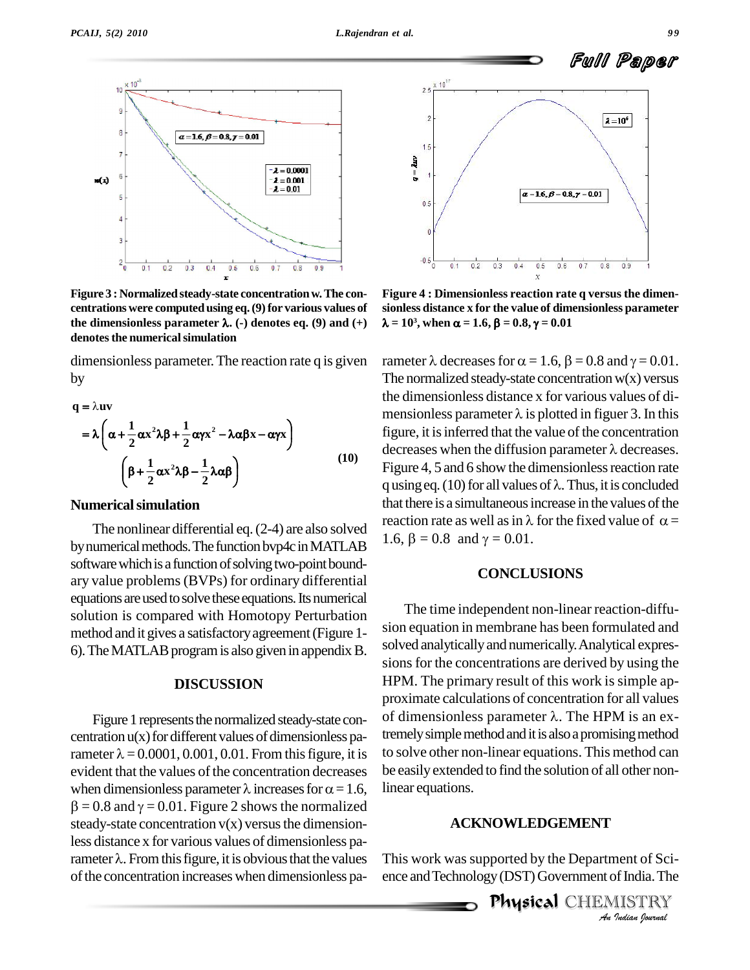

**Figure 3 : Normalized steady-state concentrationw.The con centrations were computedusing eq.(9)for various values of Figure 3 : Normalized steady-state concentration w. The con-**<br>**Figure 3 : Normalized steady-state concentration w. The con-**<br>**the dimensionless parameter**  $\lambda$ . (-) denotes eq. (9) and (+)  $\lambda =$ **denotesthe numericalsimulation**

dimensionless parameter. The reaction rate q is given by  $\lambda$ uv

$$
q = \lambda uv
$$
  
=  $\lambda \left( \alpha + \frac{1}{2} \alpha x^2 \lambda \beta + \frac{1}{2} \alpha \gamma x^2 - \lambda \alpha \beta x - \alpha \gamma x \right)$   

$$
\left( \beta + \frac{1}{2} \alpha x^2 \lambda \beta - \frac{1}{2} \lambda \alpha \beta \right)
$$
 (10)

### **Numericalsimulation**

by numerical methods. The function by p4c in MATLAB software which is a function of solving two-point boundary value problems(BVPs) for ordinary differential equations are used to solve these equations. Its numerical solution is compared with Homotopy Perturbation method and it gives a satisfactoryagreement(Figure 1- 6). The MATLAB program is also given in appendix B.

### **DISCUSSION**

centration  $u(x)$  for different values of dimensionless pa-Figure 1 represents the normalized steady-state con-<br>centration  $u(x)$  for different values of dimensionless pa-<br>rameter  $\lambda = 0.0001, 0.001, 0.01$ . From this figure, it is to so evident that the values of the concentration decreases rameter  $\lambda$  = 0.0001, 0.001, 0.01. From this figure, it is<br>evident that the values of the concentration decreases<br>when dimensionless parameter  $\lambda$  increases for  $\alpha$  = 1.6,  $\beta = 0.8$  and  $\gamma = 0.01$ . Figure 2 shows the normalized steady-state concentration  $v(x)$  versus the dimension-<br>less distance x for various values of dimensionless pa-<br>rameter  $\lambda$ . From this figure, it is obvious that the values This less distance x for various values of dimensionless paof the concentration increases when dimensionless pa-



**Figure 4 : Dimensionless reaction rate q versus the dimen sionless distance x for the value of dimensionless parameter**  $= 10<sup>3</sup>$ , when  $\alpha$ **4** : Dimensionless reaction rate q ve<br>s distance x for the value of dimensio<br>, when  $\alpha = 1.6$ ,  $\beta = 0.8$ ,  $\gamma = 0.01$ 

The nonlinear differential eq. (2-4) are also solved reaction rate as well as in  $\lambda$  for the fixed value of  $\alpha$  = rameter  $\lambda$  decreases for  $\alpha = 1.6$ ,  $\beta = 0.8$  and  $\gamma = 0.01$ . The normalized steady-state concentration  $w(x)$  versus the dimensionless distance x for various values of di- The normalized steady-state concentration w(x) versus<br>the dimensionless distance x for various values of di-<br>mensionless parameter  $\lambda$  is plotted in figuer 3. In this figure, it is inferred that the value of the concentration mensionless parameter  $\lambda$  is plotted in figuer 3. In this<br>figure, it is inferred that the value of the concentration<br>decreases when the diffusion parameter  $\lambda$  decreases. Figure 4, 5 and 6 show the dimensionless reaction rate decreases when the diffusion parameter  $\lambda$  decreases.<br>Figure 4, 5 and 6 show the dimensionless reaction rate<br>q using eq. (10) for all values of  $\lambda$ . Thus, it is concluded that there is a simultaneous increase in the values of the q using eq. (10) for all values of  $\lambda$ . Thus, it is concluded<br>that there is a simultaneous increase in the values of the<br>reaction rate as well as in  $\lambda$  for the fixed value of  $\alpha =$ 1.6,  $\beta = 0.8$  and  $\gamma = 0.01$ .

### **CONCLUSIONS**

Figure 1 represents the normalized steady-state con- of dimensionless parameter  $\lambda$ . The HPM is an ex-The time independent non-linear reaction-diffu sion equation in membrane has been formulated and solved analytically and numerically. Analytical expressions for the concentrations are derived by using the HPM. The primary result of this work is simple approximate calculations of concentration forall values HPM. The primary result of this work is simple approximate calculations of concentration for all values<br>of dimensionless parameter  $\lambda$ . The HPM is an extremely simple method and it is also a promising method to solve other non-linear equations. This method can be easily extended to find the solution of all other nonlinear equations.

## *An***ACKNOWLEDGEMENT**

**Indian Sci-**<br>India. The<br>*IISTRY*<br>*Indian Iournal* This work was supported by the Department of Science and Technology (DST) Government of India. The

productional<br>Physical CHEMISTRY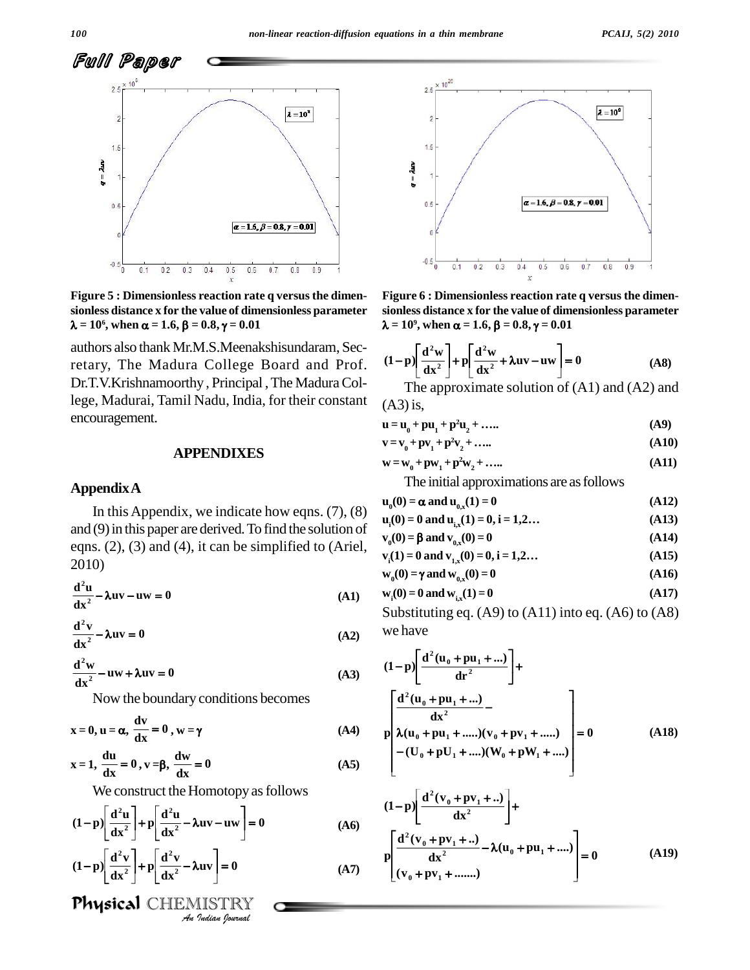

**Figure** 5 : Dimensionless reaction rate q versus the dimensionless distance x for the value of dimensionless parameter sio  $\lambda = 10^6$ , when  $\alpha = 1.6$ ,  $\beta = 0.8$ ,  $\gamma = 0.01$   $\lambda =$ **sionless distance x for the value of dimensionless parameter = 10 6**

authors also thank Mr.M.S.Meenakshisundaram, Secretary, The Madura College Board and Prof. Dr.T.V.Krishnamoorthy, Principal, The Madura College, Madurai, Tamil Nadu, India, for their constant encouragement.

### **APPENDIXES**

### **AppendixA**

In this Appendix, we indicate how eqns.  $(7)$ ,  $(8)$ and (9) in this paper are derived. To find the solution of  $\mathbf{v}_i(0) = 0$  and  $\mathbf{v}_i(0) = 0$ eqns. (2), (3) and (4), it can be simplified to (Ariel, 2010)

 $\frac{d^2u}{dx^2}$  –  $\lambda uv$  –  $uw = 0$  $^{2}$ **u**  $^{2}$   $^{2}$   $^{2}$   $^{2}$   $^{2}$   $^{2}$   $^{2}$   $^{2}$   $^{2}$   $^{2}$   $^{2}$   $^{2}$   $^{2}$   $^{2}$   $^{2}$   $^{2}$   $^{2}$   $^{2}$   $^{2}$   $^{2}$   $^{2}$   $^{2}$   $^{2}$   $^{2}$   $^{2}$   $^{2}$   $^{2}$   $^{2}$   $^{2}$   $^{2}$   $^{2}$   $^{2}$   $^{2}$   $^{2}$   $^{2}$   $^{$  $\frac{x^2}{2x}$ 

$$
\frac{d^{2}v}{dx^{2}} - \lambda uv = 0
$$
\n
$$
\frac{d^{2}v}{dx^{2}} - \lambda uv = 0
$$
\n(A2)

$$
\frac{d^{2}w}{dx^{2}} - uw + \lambda uv = 0
$$
 (A3) (A2)

Now the boundary conditions becomes  

$$
x = 0
$$
,  $u = \alpha$ ,  $\frac{dv}{dx} = 0$ ,  $w = \gamma$  (A4)

$$
x = 0, u = \alpha, \frac{du}{dx} = 0, w = \gamma
$$
 (A4)  

$$
x = 1, \frac{du}{dx} = 0, v = \beta, \frac{dw}{dx} = 0
$$
 (A5)

 $\mathcal{L}$  $\overline{a}$  $\epsilon$ 

We construct the Homotopy as follows  
\n
$$
(1-p)\left[\frac{d^{2}u}{dx^{2}}\right] + p\left[\frac{d^{2}u}{dx^{2}} - \lambda uv - uw\right] = 0
$$
\n(A6)

$$
(1-p)\left[\frac{d^2u}{dx^2}\right] + p\left[\frac{d^2u}{dx^2} - \lambda uv - uw\right] = 0
$$
 (A6)  

$$
(1-p)\left[\frac{d^2v}{dx^2}\right] + p\left[\frac{d^2v}{dx^2} - \lambda uv\right] = 0
$$
 (A7)  
**Physical** CHEMISTRY  
*4u quatan Journal*

physical CHEMISTRY



 $\overline{1}$ Ĩ, ĺ. , =  $10^9$ , when  $\sigma$ **Figure** 6 : Dimensionless reaction rate q versus the dimensionless distance x for the value of dimensionless parameter  $\lambda = 10^9$ , when  $\alpha = 1.6$ ,  $\beta = 0.8$ ,  $\gamma = 0.01$ **sionless distance x for the value of dimensionless parameter**

λ = 10<sup>9</sup>, when α = 1.6, β = 0.8, γ = 0.01  
\n
$$
(1-p)\left[\frac{d^2w}{dx^2}\right] + p\left[\frac{d^2w}{dx^2} + \lambda uv - uw\right] = 0
$$
\n(A8)

The approximate solution of (A1) and (A2) and<br>  $\mu_0 + \mathbf{p} \mathbf{u}_1 + \mathbf{p}^2 \mathbf{u}_2 + \dots$  (A9)  $(A3)$  is,

| (112)13,                                                                                  |       |
|-------------------------------------------------------------------------------------------|-------|
| $\mathbf{u} = \mathbf{u}_0 + \mathbf{p} \mathbf{u}_1 + \mathbf{p}^2 \mathbf{u}_2 + \dots$ | (A9)  |
| ${\bf v} = {\bf v}_0 + {\bf p}{\bf v}_1 + {\bf p}^2{\bf v}_2 + \dots$                     | (A10) |

$$
v = v_0 + pv_1 + p^2 v_2 + \dots
$$
  
\n
$$
v = w_0 + pv_1 + p^2 v_2 + \dots
$$
  
\n
$$
w = w_0 + pw_1 + p^2 w_2 + \dots
$$
  
\n(A11)

 $\mathbf{w} = \mathbf{w}_{0} + \mathbf{p}\mathbf{w}_{1} + \mathbf{p}^{2}\mathbf{w}_{2} + \dots$ 

The initial approximations are as follows  
\n
$$
\mathbf{u}_0(0) = \alpha \text{ and } \mathbf{u}_{0,x}(1) = 0
$$
\n
$$
\mathbf{u}_1(0) = 0 \text{ and } \mathbf{u}_{1,x}(1) = 0, \mathbf{i} = 1, 2...
$$
\n(A13)

$$
u_0(0) = \alpha \text{ and } u_{0,x}(1) = 0
$$
\n
$$
u_1(0) = 0 \text{ and } u_{1,x}(1) = 0, i = 1, 2...
$$
\n(A13)\n
$$
v_0(0) = \beta \text{ and } v_{0,x}(0) = 0
$$
\n(A14)

$$
v_0(0) = 0 \text{ and } v_{0x}(0) = 0,
$$
\n
$$
v_0(1) = 0 \text{ and } v_{0x}(0) = 0,
$$
\n
$$
v_1(1) = 0 \text{ and } v_{1x}(0) = 0, i = 1, 2...
$$
\n(A14)\n(A15)

$$
v0(0) = p and v0,x(0) = 0\n vi(1) = 0 and v1,x(0) = 0, i = 1,2... \n w0(0) = γ and w0,x(0) = 0
$$
\n(A16)

$$
W_0(\mathbf{U}) = \gamma \text{ and } W_{0,x}(\mathbf{U}) = \mathbf{U} \tag{A10}
$$

$$
w_i(0) = 0 \text{ and } w_{i,x}(1) = 0
$$
 (A17)

Substituting eq. (A9) to (A11) into eq. (A6) to (A8) we have e hav  $\overline{1}$  $[$  =  $($ 

we have  
\n
$$
(1-p)\left[\frac{d^{2}(u_{0}+pu_{1}+...)}{dr^{2}}\right] + \frac{d^{2}(u_{0}+pu_{1}+...)}{dx^{2}} - \frac{d^{2}(u_{0}+pu_{1}+...)}{dx^{2}} - \frac{d^{2}(u_{0}+pu_{1}+...)}{dx^{2}} - \frac{d^{2}(u_{0}+pu_{1}+...)}{dx^{2}} - \frac{d^{2}(u_{0}+uv_{1}+...)}{dx^{2}}\right] = 0
$$
\n(A18)

$$
(1-p)\left[\frac{d^{2}(v_{0}+pv_{1}+...)}{dx^{2}}\right] + \newline p\left[\frac{d^{2}(v_{0}+pv_{1}+...)}{dx^{2}} - \lambda(u_{0}+pu_{1}+....)\right] = 0 \tag{A19}
$$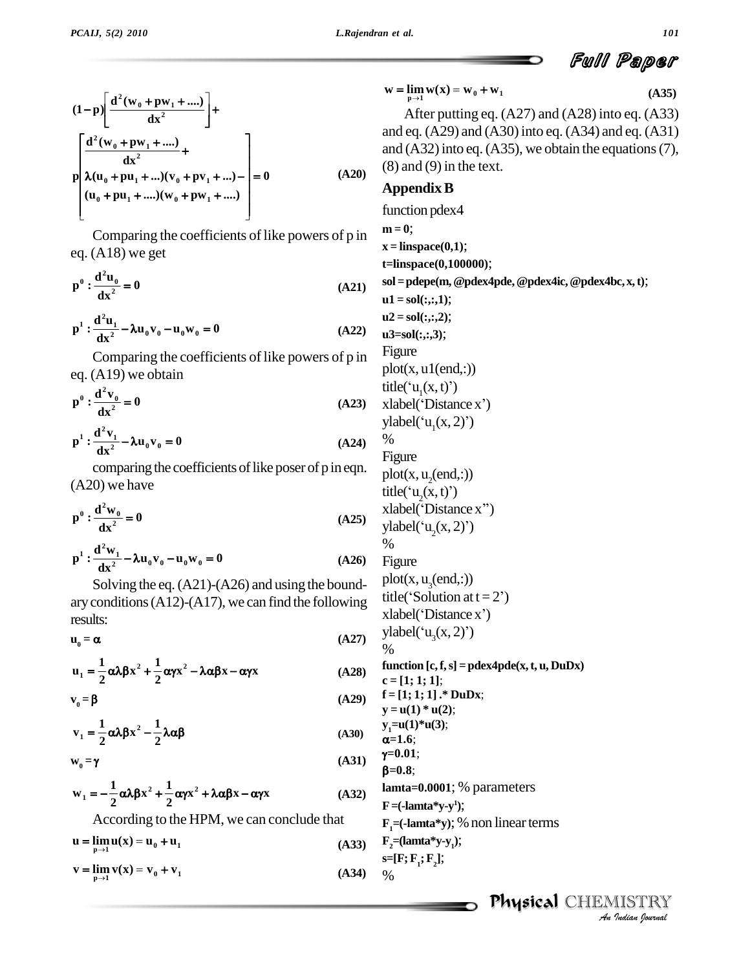$$
(1-p)\left[\frac{d^{2}(w_{0}+pw_{1}+....)}{dx^{2}}\right] + \frac{d^{2}(w_{0}+pw_{1}+.....)}{dx^{2}} + \frac{d^{2}(w_{0}+pw_{1}+.....)}{dx^{2}} + \frac{d^{2}(w_{0}+pw_{1}+.....)}{(w_{0}+pu_{1}+.....)(w_{0}+pv_{1}+.....)} = 0
$$
\n(A20) (8)  
\n(A20) (8)  
\n(A1)

Comparing the coefficients of like powers of p in

eq. (A18) we get  
\n
$$
p^0: \frac{d^2 u_0}{dx^2} = 0
$$
\n(d21) sol

$$
dx^{2}
$$
\n
$$
p^{1} : \frac{d^{2}u_{1}}{dx^{2}} - \lambda u_{0}v_{0} - u_{0}w_{0} = 0
$$
\n(A22)\n
$$
u^{2}
$$
\n
$$
u^{2}
$$
\n
$$
u^{3}
$$

Comparing the coefficients of like powers of p in eq. (A19) we obtain<br> $n^0 \cdot \frac{d^2v_0}{2} = 0$ 

$$
p^0: \frac{d^2v_0}{dx^2} = 0
$$
\n(A23)  $x$  is given by the equation  $y^1$ .

$$
p^{1} : \frac{d^{2}v_{1}}{dx^{2}} - \lambda u_{0}v_{0} = 0
$$
 (A24) %  
(A24) %

comparing the coefficients of like poser of p in eqn.

(A20) we have  
\n
$$
p^0: \frac{d^2w_0}{dx^2} = 0
$$
\n
$$
(A25)
$$
\n
$$
x \text{ is given by } x \text{ is given by } x \text{ is given by } x^2 = 0
$$

$$
\mathbf{p}^{1} : \frac{\mathbf{d}^{2} \mathbf{w}_{1}}{\mathbf{d} \mathbf{x}^{2}} - \lambda \mathbf{u}_{0} \mathbf{v}_{0} - \mathbf{u}_{0} \mathbf{w}_{0} = 0
$$
 (A26) Fig

Solving the eq.(A21)-(A26) and using the bound ary conditions (A12)-(A17), we can find the following tune of the stabel (see  $\mathbf{u}_0 = \alpha$  (A27)  $\alpha$ results:

$$
\mathbf{u}_0 = \mathbf{\alpha} \tag{A27}
$$

$$
u_0 = \alpha
$$
\n(A27)\n
$$
u_1 = \frac{1}{2} \alpha \lambda \beta x^2 + \frac{1}{2} \alpha \gamma x^2 - \lambda \alpha \beta x - \alpha \gamma x
$$
\n(A28)\n
$$
v_0 = \beta
$$
\n(A29)\n
$$
f = \frac{1}{2} \alpha \lambda \beta x^2 + \frac{1}{2} \alpha \gamma x^2 - \lambda \alpha \beta x - \alpha \gamma x
$$
\n(A29)\n
$$
f = \frac{1}{2} \alpha \lambda \beta x^2 + \frac{1}{2} \alpha \gamma x^2 - \lambda \alpha \beta x - \alpha \gamma x
$$

$$
\mathbf{v}_0 = \mathbf{\beta} \tag{A29}
$$

$$
v_0 = \beta \qquad (A29)
$$
  
\n
$$
v_1 = \frac{1}{2} \alpha \lambda \beta x^2 - \frac{1}{2} \lambda \alpha \beta \qquad (A30)
$$
  
\n
$$
w_0 = \gamma \qquad (A31)
$$
  
\n
$$
v_0 = \gamma
$$

$$
\mathbf{v}_0 = \mathbf{\gamma}
$$

$$
w_0 = \gamma
$$
 (A31)  
\n
$$
w_1 = -\frac{1}{2}\alpha\lambda\beta x^2 + \frac{1}{2}\alpha\gamma x^2 + \lambda\alpha\beta x - \alpha\gamma x
$$
 (A32)  
\n
$$
F =
$$

According to the HPM, we can conclude that  
\n
$$
\mathbf{u} = \lim_{\substack{\mathbf{p} \to 1}} \mathbf{u}(\mathbf{x}) = \mathbf{u}_0 + \mathbf{u}_1
$$
\n(A33)  $\mathbf{F}_2 =$ 

$$
u = \lim_{p \to 1} u(x) = u_0 + u_1
$$
\n
$$
v = \lim_{p \to 1} v(x) = v_0 + v_1
$$
\n(A33)  $\begin{array}{l} F_2 = \text{Im } u_1 \\ s = \text{Im } u_2 \end{array}$ \n(A34)  $\begin{array}{l} F_2 = \text{Im } u_2 \\ t = \text{Im } u_1 \end{array}$ 

$$
\mathbf{w} = \lim_{\mathbf{p} \to 1} \mathbf{w}(\mathbf{x}) = \mathbf{w}_0 + \mathbf{w}_1
$$

After putting eq. (A27) and (A28) into eq. (A33) and eq.  $(A29)$  and  $(A30)$  into eq.  $(A34)$  and eq.  $(A31)$ and  $(A32)$  into eq.  $(A35)$ , we obtain the equations (7),  $(8)$  and  $(9)$  in the text.

## **AppendixB**

 $\alpha = 1.6;$ function pdex4  $m = 0$ ;  $x = \text{linspace}(0,1);$ **t=linspace(0,100000)**; **sol =pdepe(m,@pdex4pde,@pdex4ic,@pdex4bc,x,t)**;  $u1 = sol(:,:, 1);$  $u2 = sol(:,:, 2);$ **u3=sol(:,:,3)**; Figure  $plot(x, u1(end,:))$ Figure<br>plot(x, u1(end,:))<br>title('u<sub>1</sub>(x, t)') plot(x, u1(end,:))<br>title('u<sub>1</sub>(x, t)')<br>xlabel('Distance x') title('u<sub>1</sub>(x, t)')<br>xlabel('Distance x')<br>ylabel('u<sub>1</sub>(x, 2)') % Figure  $plot(x, u_2(end,:))$ Figure<br>plot(x, u<sub>2</sub>(end,:))<br>title('u<sub>2</sub>(x, t)') plot(x, u<sub>2</sub>(end,:))<br>title('u<sub>2</sub>(x, t)')<br>xlabel('Distance x'') title('u<sub>2</sub>(x, t)')<br>xlabel('Distance x'')<br>ylabel('u<sub>2</sub>(x, 2)') % Figure  $plot(x, u<sub>2</sub>(end,:))$ Figure<br>plot(x, u<sub>3</sub>(end,:))<br>title('Solution at t = 2') plot(x, u<sub>3</sub>(end,:))<br>title('Solution at t = 2')<br>xlabel('Distance x') title('Solution at t = 2')<br>xlabel('Distance x')<br>ylabel('u<sub>3</sub>(x, 2)') %  $function [c, f, s] = p \cdot d \cdot (x, t, u, DuDx)$ **c = [1; 1; 1]**; **f = [1; 1; 1] .\* DuDx**; **y** = **u**(1)  $*$  **u**(2); **y**<sub>1</sub> $=$ **u**(1)\***u**(3); **=0.01**;  $\beta = 0.8$ ; **lamta=0.0001**; % parameters  $\mathbf{F} = (-\mathbf{lamta}^* \mathbf{y} - \mathbf{y}^1);$  $\mathbf{F}_{1}$ =(**-lamta**\*y); % non linear terms  $\mathbf{F}_2 = (\text{lama*y-y}_1);$ **s=[F;F1;F2]**; %

**(A35)**

Full Paper